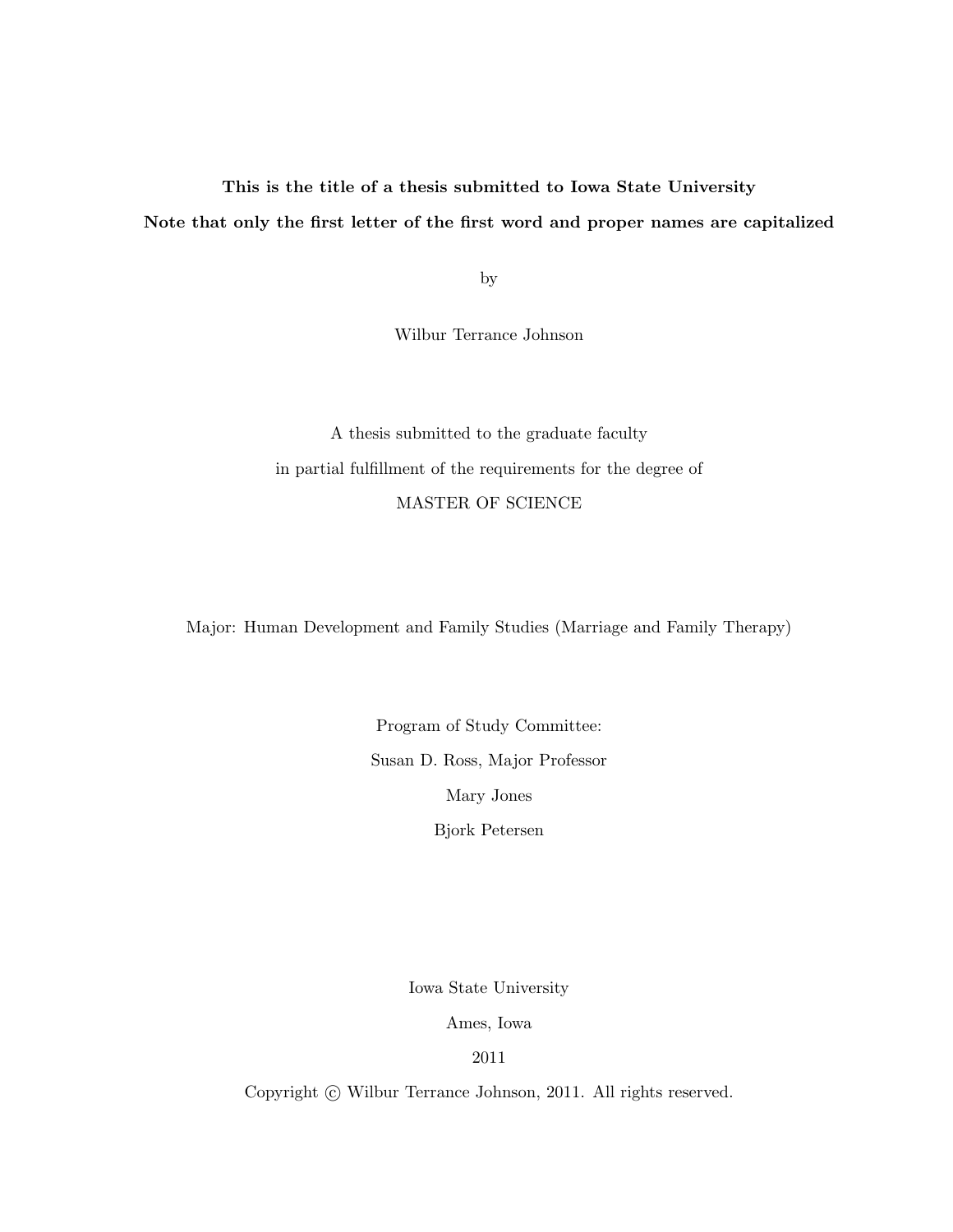# This is the title of a thesis submitted to Iowa State University Note that only the first letter of the first word and proper names are capitalized

by

Wilbur Terrance Johnson

A thesis submitted to the graduate faculty in partial fulfillment of the requirements for the degree of MASTER OF SCIENCE

Major: Human Development and Family Studies (Marriage and Family Therapy)

Program of Study Committee: Susan D. Ross, Major Professor Mary Jones Bjork Petersen

Iowa State University

Ames, Iowa

2011

Copyright  $\odot$  Wilbur Terrance Johnson, 2011. All rights reserved.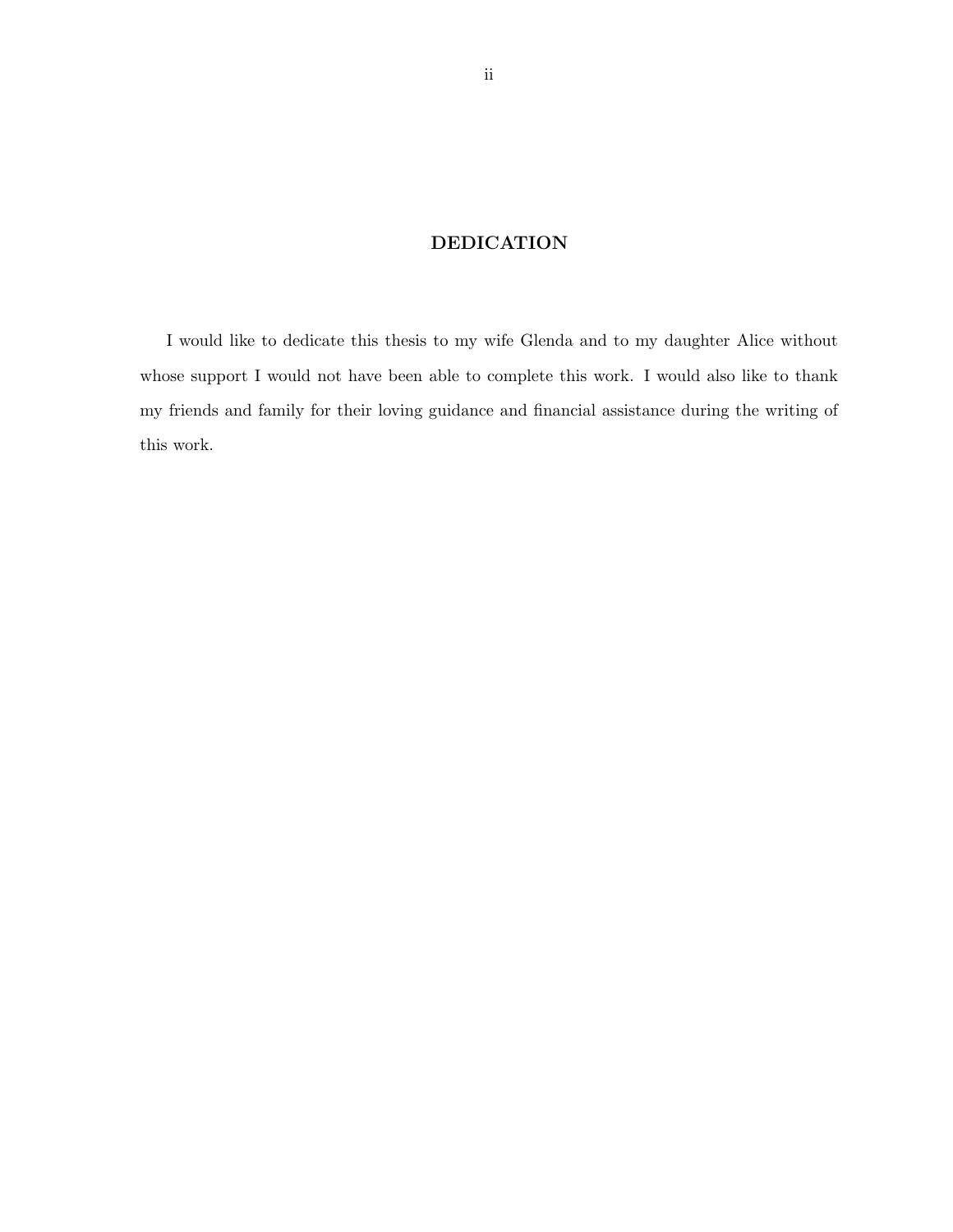## DEDICATION

I would like to dedicate this thesis to my wife Glenda and to my daughter Alice without whose support I would not have been able to complete this work. I would also like to thank my friends and family for their loving guidance and financial assistance during the writing of this work.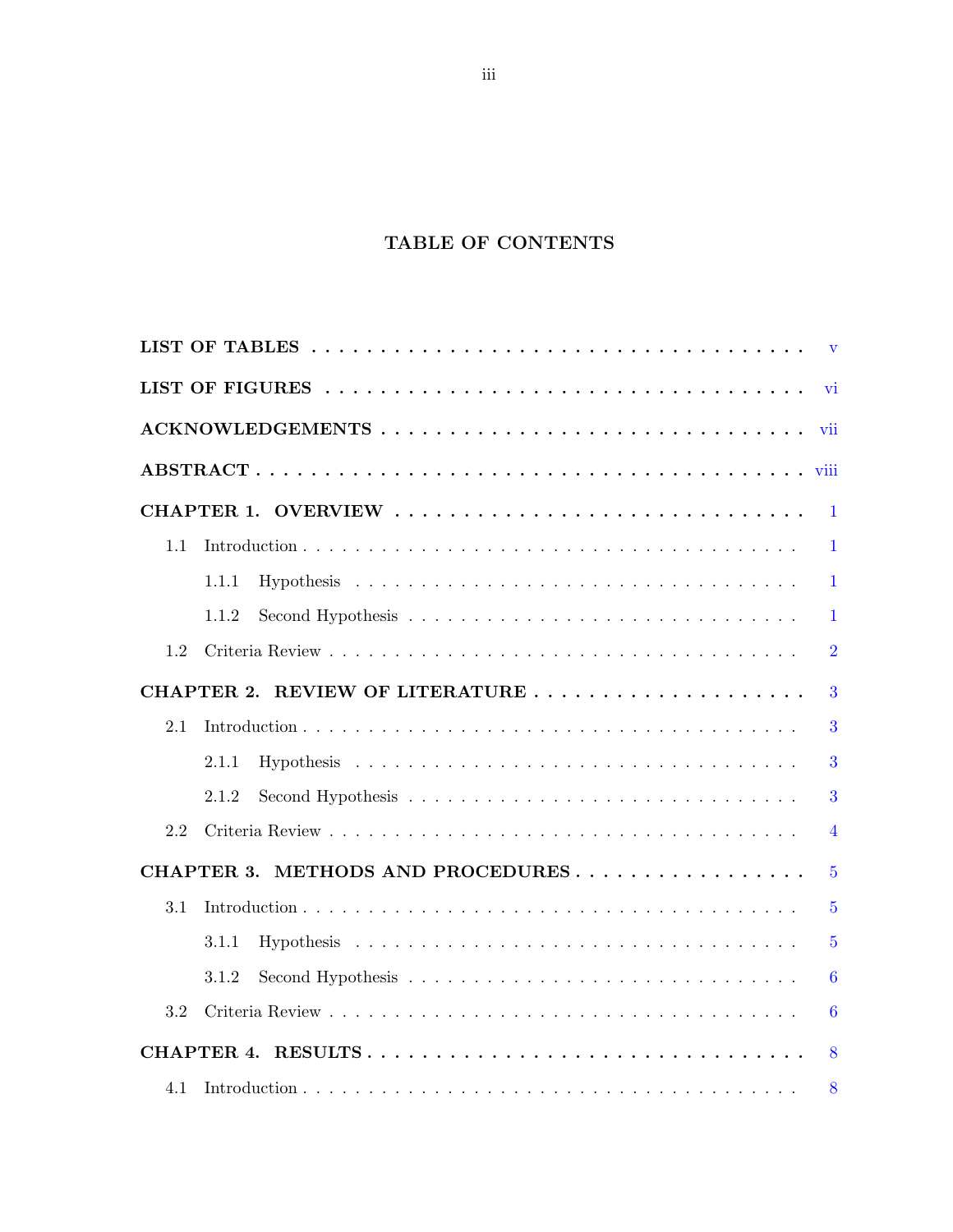# TABLE OF CONTENTS

|     |                                   | $\mathbf{v}$     |
|-----|-----------------------------------|------------------|
|     |                                   | vi               |
|     | ACKNOWLEDGEMENTS                  | vii              |
|     |                                   |                  |
|     |                                   | $\overline{1}$   |
| 1.1 |                                   | $\mathbf{1}$     |
|     | 1.1.1                             | $\mathbf{1}$     |
|     | 1.1.2                             | $\mathbf{1}$     |
| 1.2 |                                   | $\overline{2}$   |
|     | CHAPTER 2. REVIEW OF LITERATURE   | 3                |
| 2.1 |                                   | 3                |
|     | 2.1.1                             | 3                |
|     | 2.1.2                             | 3                |
| 2.2 |                                   | $\overline{4}$   |
|     | CHAPTER 3. METHODS AND PROCEDURES | $\overline{5}$   |
| 3.1 |                                   | $\overline{5}$   |
|     | 3.1.1                             | $\overline{5}$   |
|     | 3.1.2                             | $\overline{6}$   |
| 3.2 |                                   | $\boldsymbol{6}$ |
|     | CHAPTER 4. RESULTS                | 8                |
| 4.1 |                                   | 8                |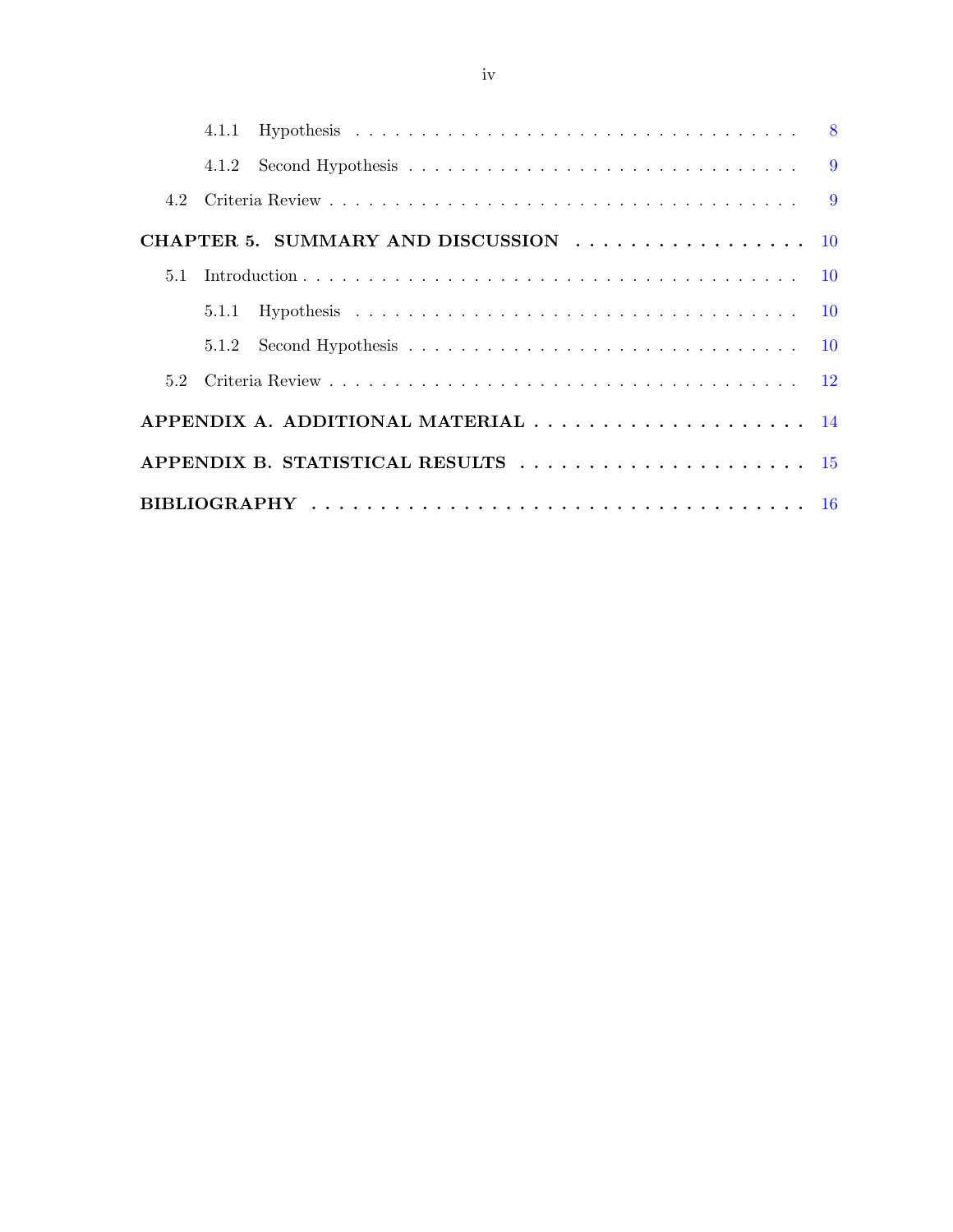|     | CHAPTER 5. SUMMARY AND DISCUSSION $\ldots \ldots \ldots \ldots \ldots \ldots$ |  |
|-----|-------------------------------------------------------------------------------|--|
| 5.1 |                                                                               |  |
|     |                                                                               |  |
|     |                                                                               |  |
|     |                                                                               |  |
|     | APPENDIX A. ADDITIONAL MATERIAL  14                                           |  |
|     | APPENDIX B. STATISTICAL RESULTS  15                                           |  |
|     |                                                                               |  |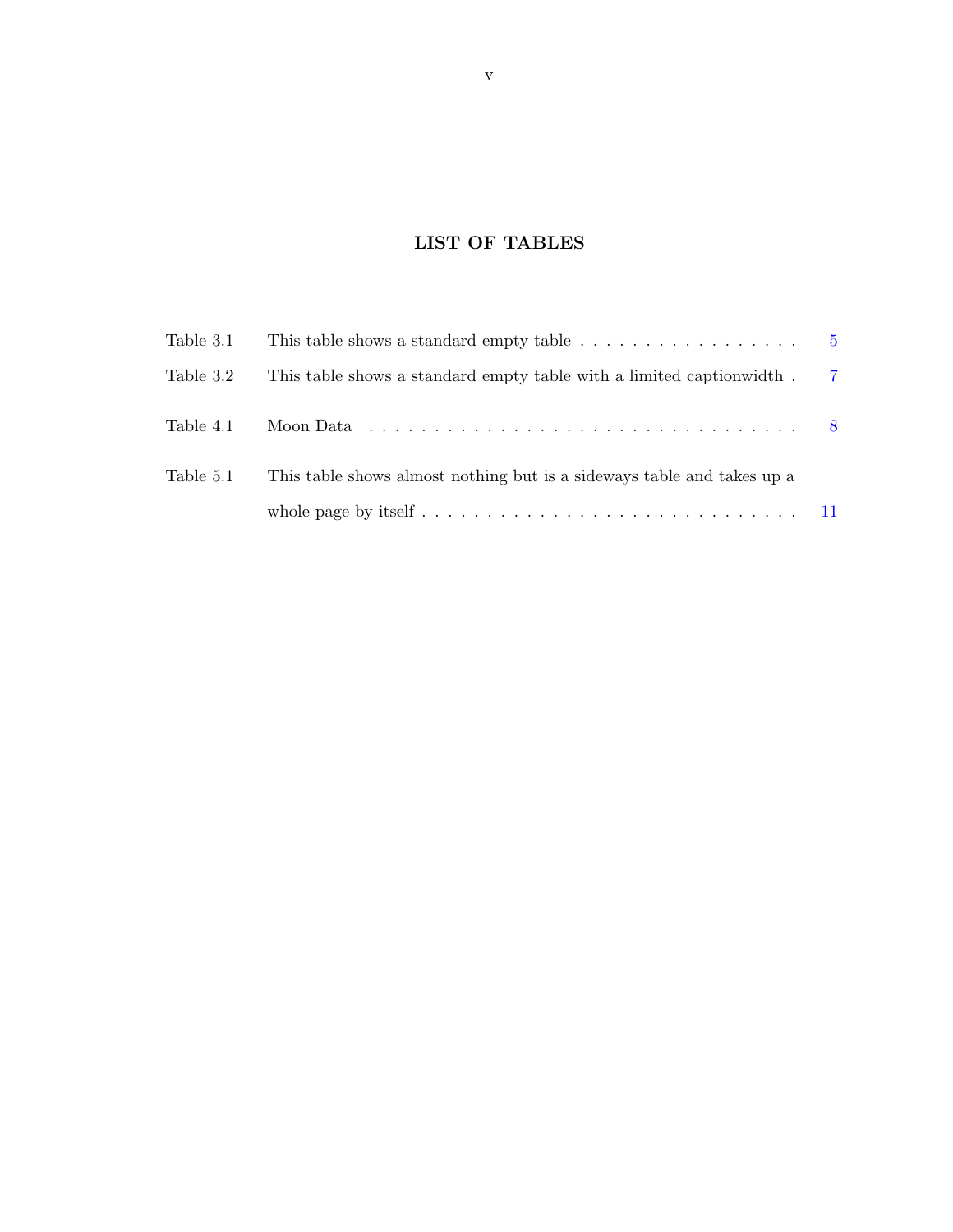# LIST OF TABLES

<span id="page-4-0"></span>

| Table 3.1 | This table shows a standard empty table $\ldots \ldots \ldots \ldots \ldots$ 5                                                                                                                                                        |          |
|-----------|---------------------------------------------------------------------------------------------------------------------------------------------------------------------------------------------------------------------------------------|----------|
| Table 3.2 | This table shows a standard empty table with a limited caption width.                                                                                                                                                                 | - 7      |
| Table 4.1 | Moon Data received a service of the Moon Data received a service of the Moon Data received and the Moon Data received a service of the Moon Data received and the Moon Data received and $\sim$ 100 $\mu$ m $\sim$ 100 $\mu$ m $\sim$ | $\sim 8$ |
| Table 5.1 | This table shows almost nothing but is a sideways table and takes up a                                                                                                                                                                |          |
|           |                                                                                                                                                                                                                                       |          |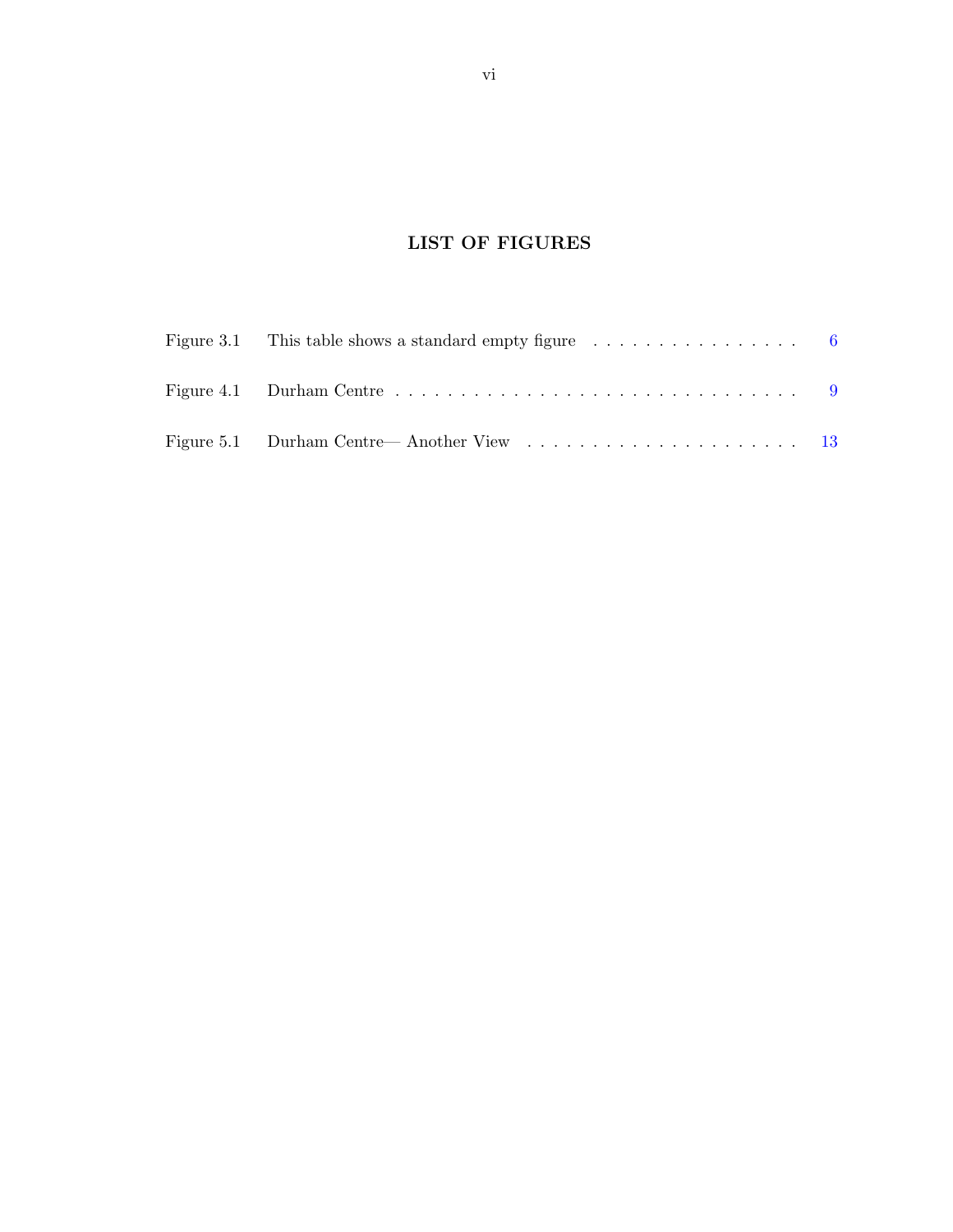# LIST OF FIGURES

<span id="page-5-0"></span>

| Figure 3.1 This table shows a standard empty figure $\dots \dots \dots \dots \dots$                |  |
|----------------------------------------------------------------------------------------------------|--|
| Figure 4.1 Durham Centre $\dots \dots \dots \dots \dots \dots \dots \dots \dots \dots \dots \dots$ |  |
|                                                                                                    |  |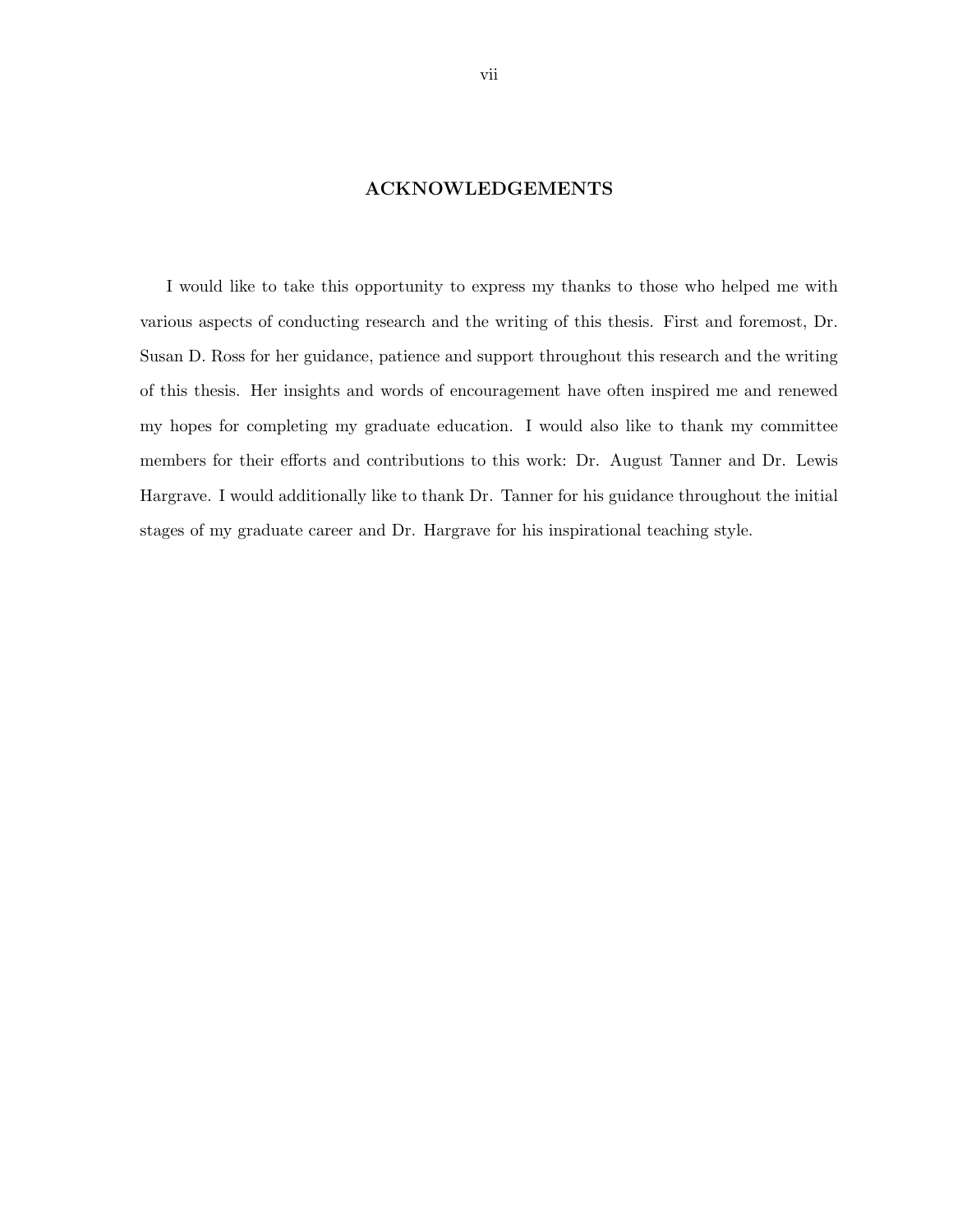### ACKNOWLEDGEMENTS

<span id="page-6-0"></span>I would like to take this opportunity to express my thanks to those who helped me with various aspects of conducting research and the writing of this thesis. First and foremost, Dr. Susan D. Ross for her guidance, patience and support throughout this research and the writing of this thesis. Her insights and words of encouragement have often inspired me and renewed my hopes for completing my graduate education. I would also like to thank my committee members for their efforts and contributions to this work: Dr. August Tanner and Dr. Lewis Hargrave. I would additionally like to thank Dr. Tanner for his guidance throughout the initial stages of my graduate career and Dr. Hargrave for his inspirational teaching style.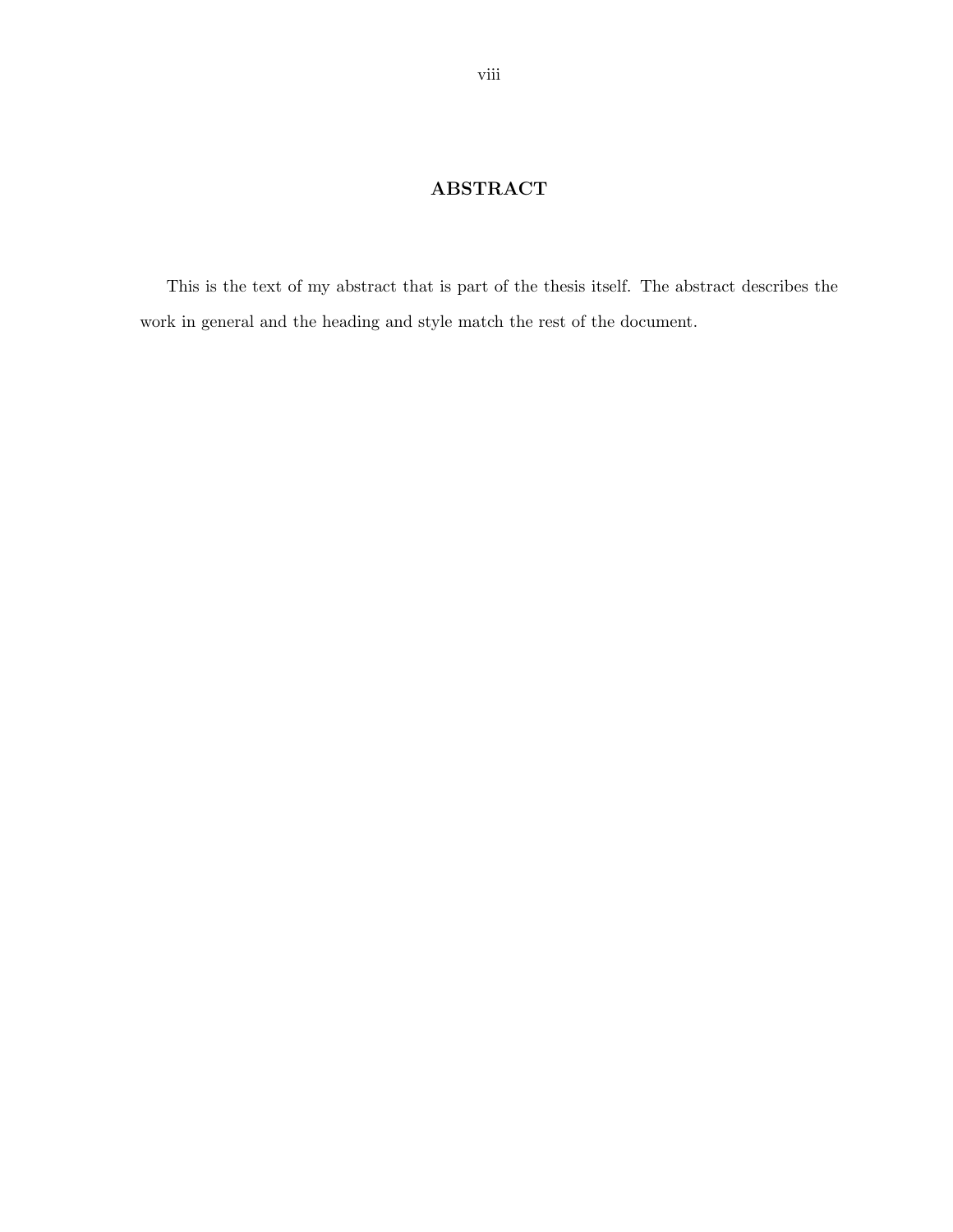# ABSTRACT

<span id="page-7-0"></span>This is the text of my abstract that is part of the thesis itself. The abstract describes the work in general and the heading and style match the rest of the document.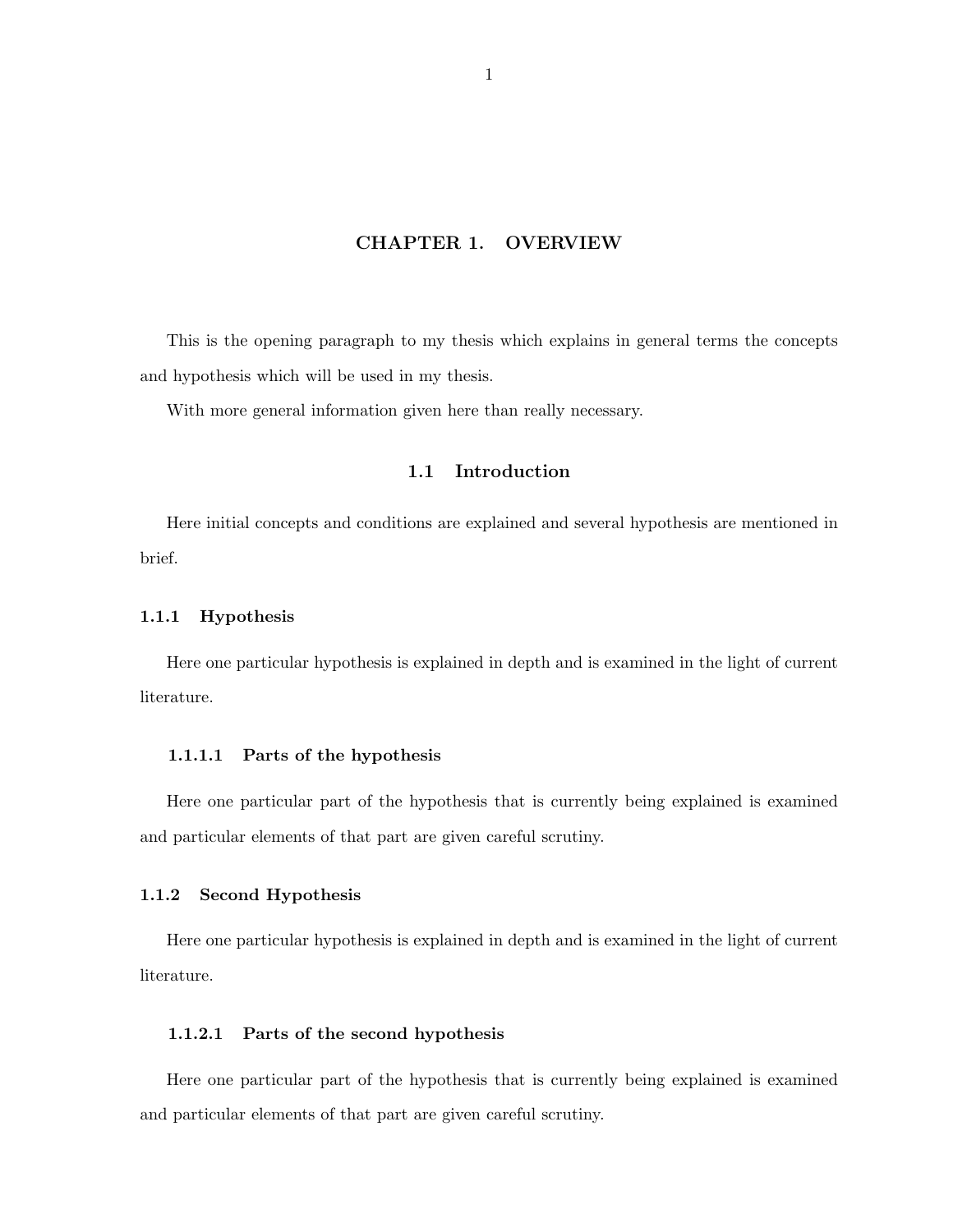#### CHAPTER 1. OVERVIEW

<span id="page-8-0"></span>This is the opening paragraph to my thesis which explains in general terms the concepts and hypothesis which will be used in my thesis.

With more general information given here than really necessary.

## 1.1 Introduction

Here initial concepts and conditions are explained and several hypothesis are mentioned in brief.

#### 1.1.1 Hypothesis

Here one particular hypothesis is explained in depth and is examined in the light of current literature.

#### 1.1.1.1 Parts of the hypothesis

Here one particular part of the hypothesis that is currently being explained is examined and particular elements of that part are given careful scrutiny.

#### 1.1.2 Second Hypothesis

Here one particular hypothesis is explained in depth and is examined in the light of current literature.

#### 1.1.2.1 Parts of the second hypothesis

Here one particular part of the hypothesis that is currently being explained is examined and particular elements of that part are given careful scrutiny.

1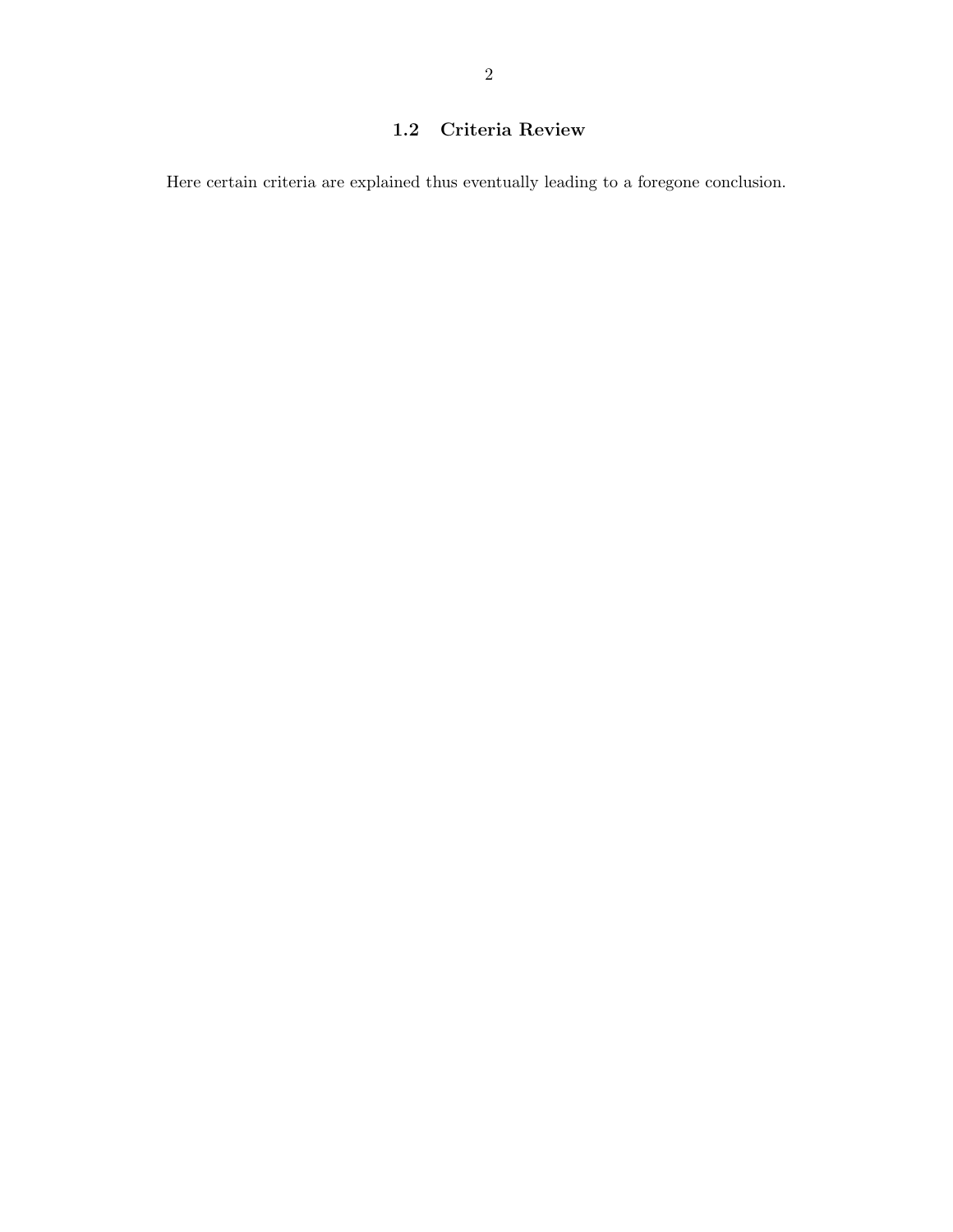# <span id="page-9-0"></span>1.2 Criteria Review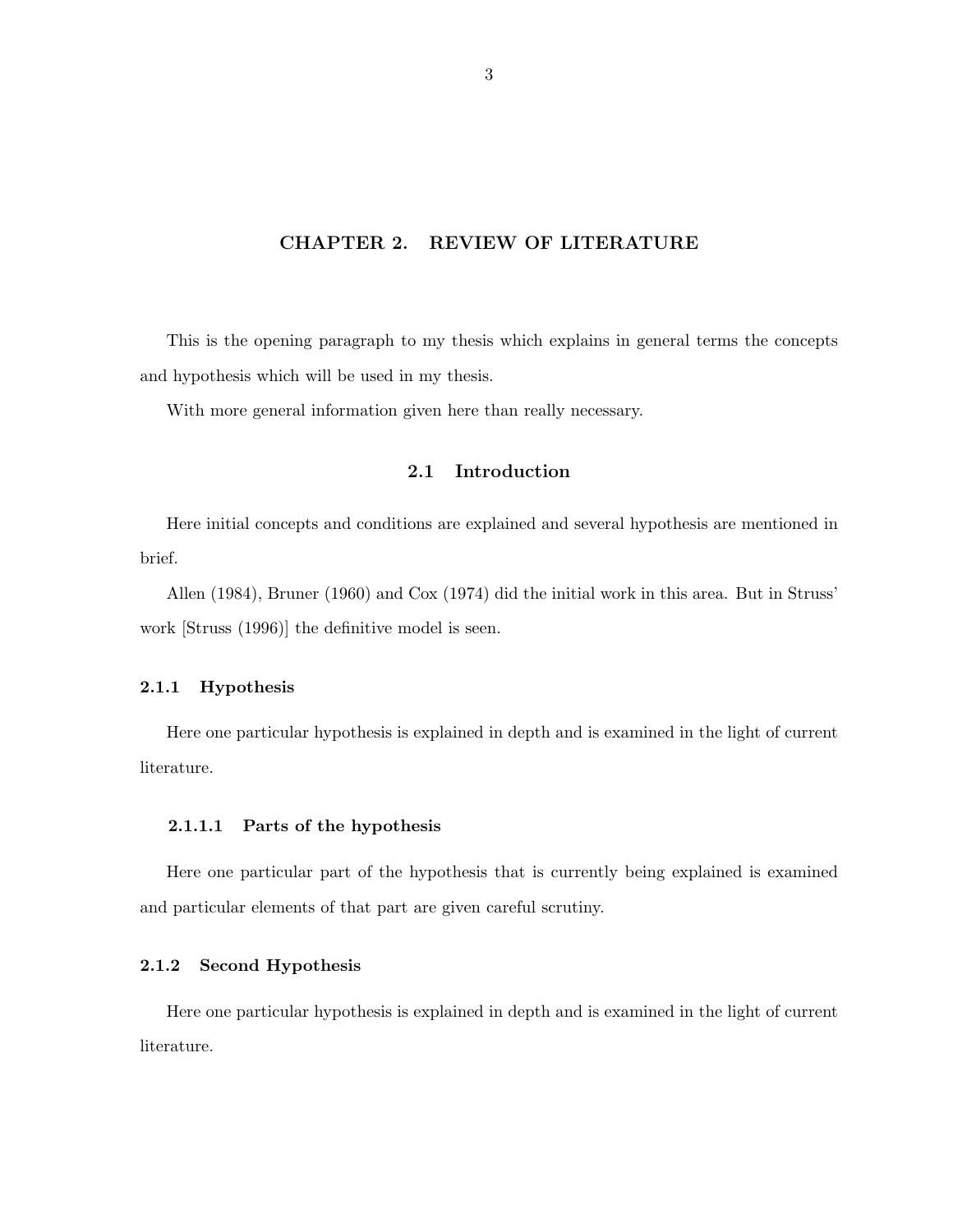#### CHAPTER 2. REVIEW OF LITERATURE

<span id="page-10-0"></span>This is the opening paragraph to my thesis which explains in general terms the concepts and hypothesis which will be used in my thesis.

With more general information given here than really necessary.

## 2.1 Introduction

Here initial concepts and conditions are explained and several hypothesis are mentioned in brief.

Allen (1984), Bruner (1960) and Cox (1974) did the initial work in this area. But in Struss' work [Struss (1996)] the definitive model is seen.

#### 2.1.1 Hypothesis

Here one particular hypothesis is explained in depth and is examined in the light of current literature.

#### 2.1.1.1 Parts of the hypothesis

Here one particular part of the hypothesis that is currently being explained is examined and particular elements of that part are given careful scrutiny.

#### 2.1.2 Second Hypothesis

Here one particular hypothesis is explained in depth and is examined in the light of current literature.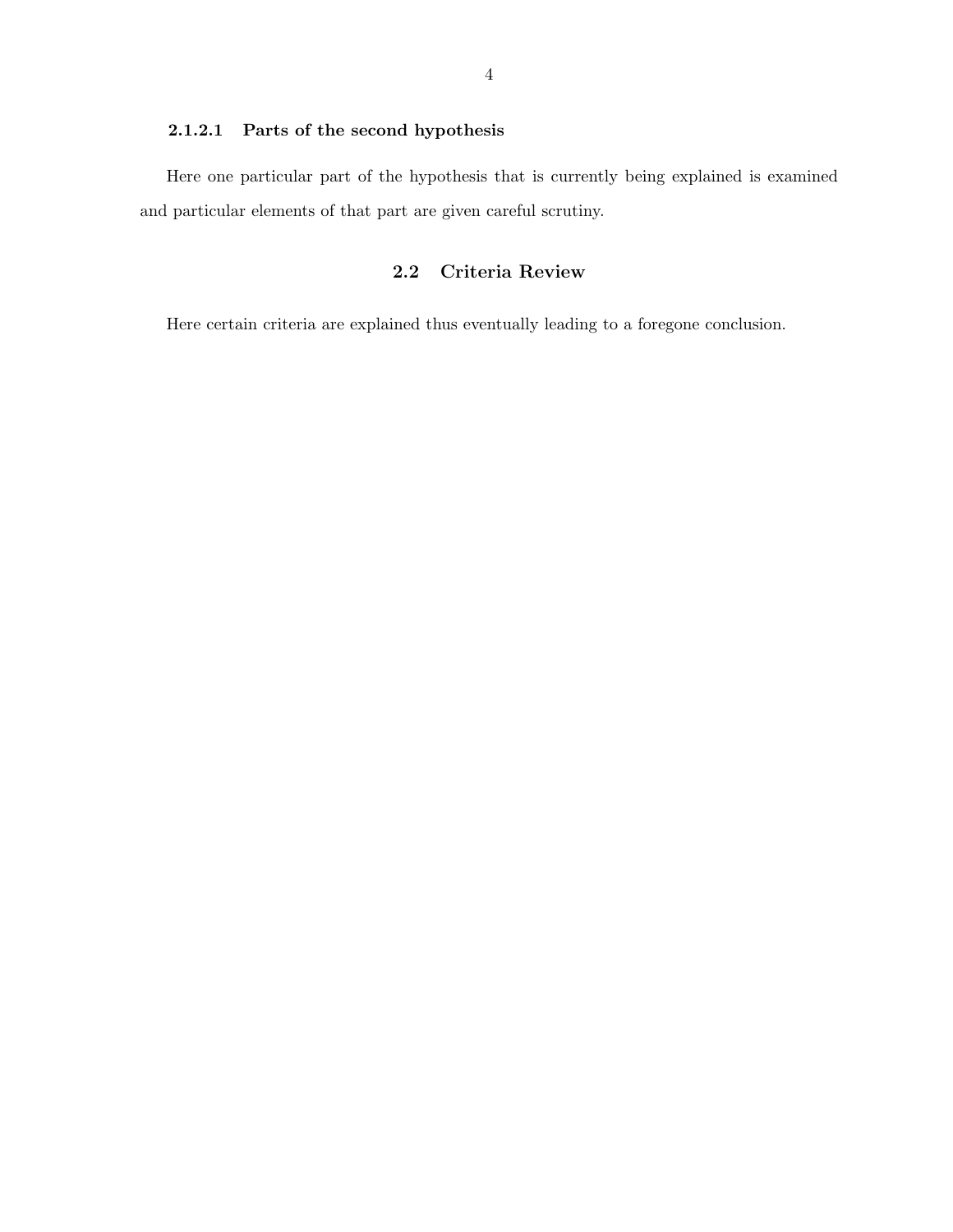#### <span id="page-11-0"></span>2.1.2.1 Parts of the second hypothesis

Here one particular part of the hypothesis that is currently being explained is examined and particular elements of that part are given careful scrutiny.

## 2.2 Criteria Review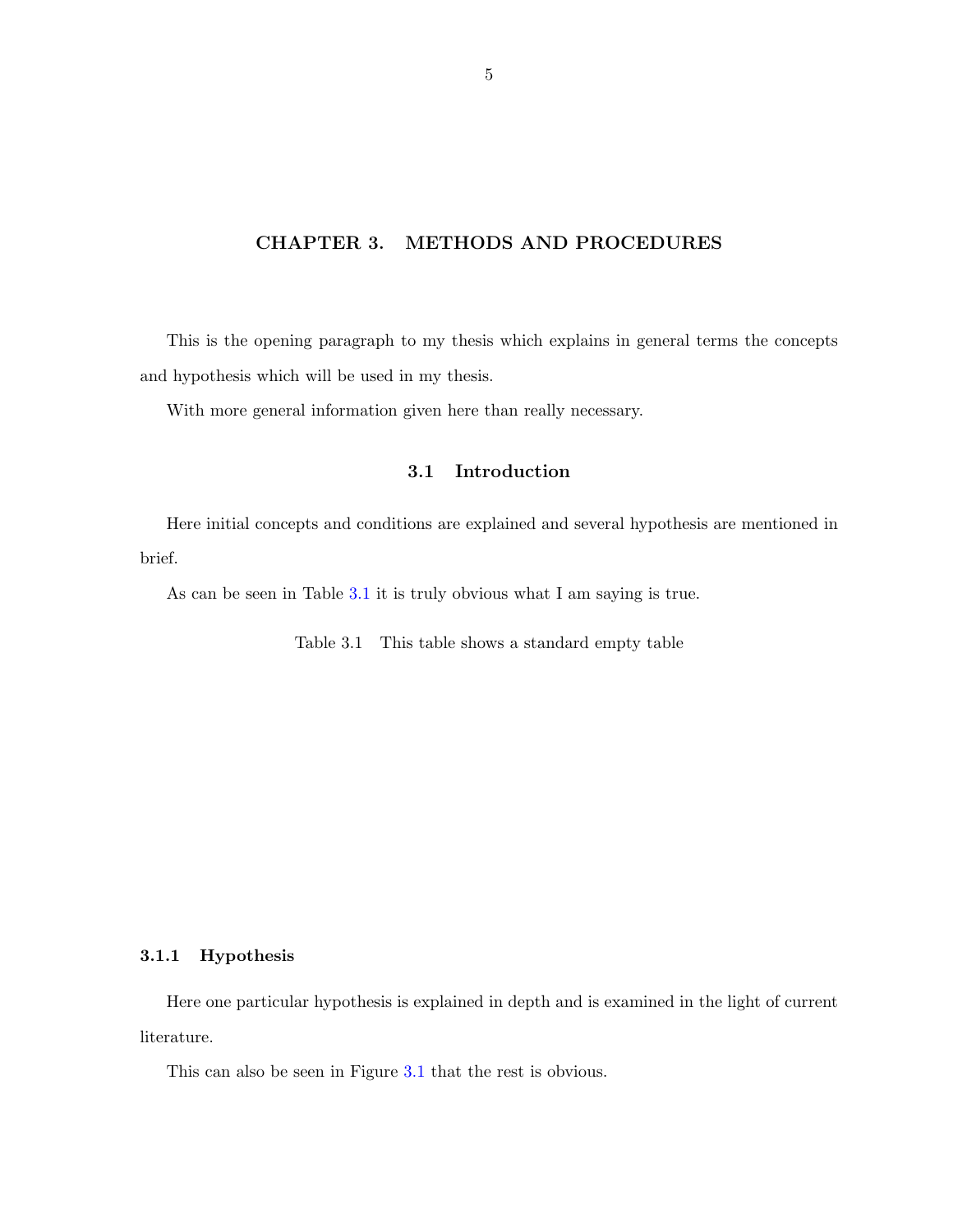## <span id="page-12-0"></span>CHAPTER 3. METHODS AND PROCEDURES

This is the opening paragraph to my thesis which explains in general terms the concepts and hypothesis which will be used in my thesis.

With more general information given here than really necessary.

## 3.1 Introduction

Here initial concepts and conditions are explained and several hypothesis are mentioned in brief.

As can be seen in Table 3.1 it is truly obvious what I am saying is true.

Table 3.1 This table shows a standard empty table

#### 3.1.1 Hypothesis

Here one particular hypothesis is explained in depth and is examined in the light of current literature.

This can also be seen in Figure [3.1](#page-13-0) that the rest is obvious.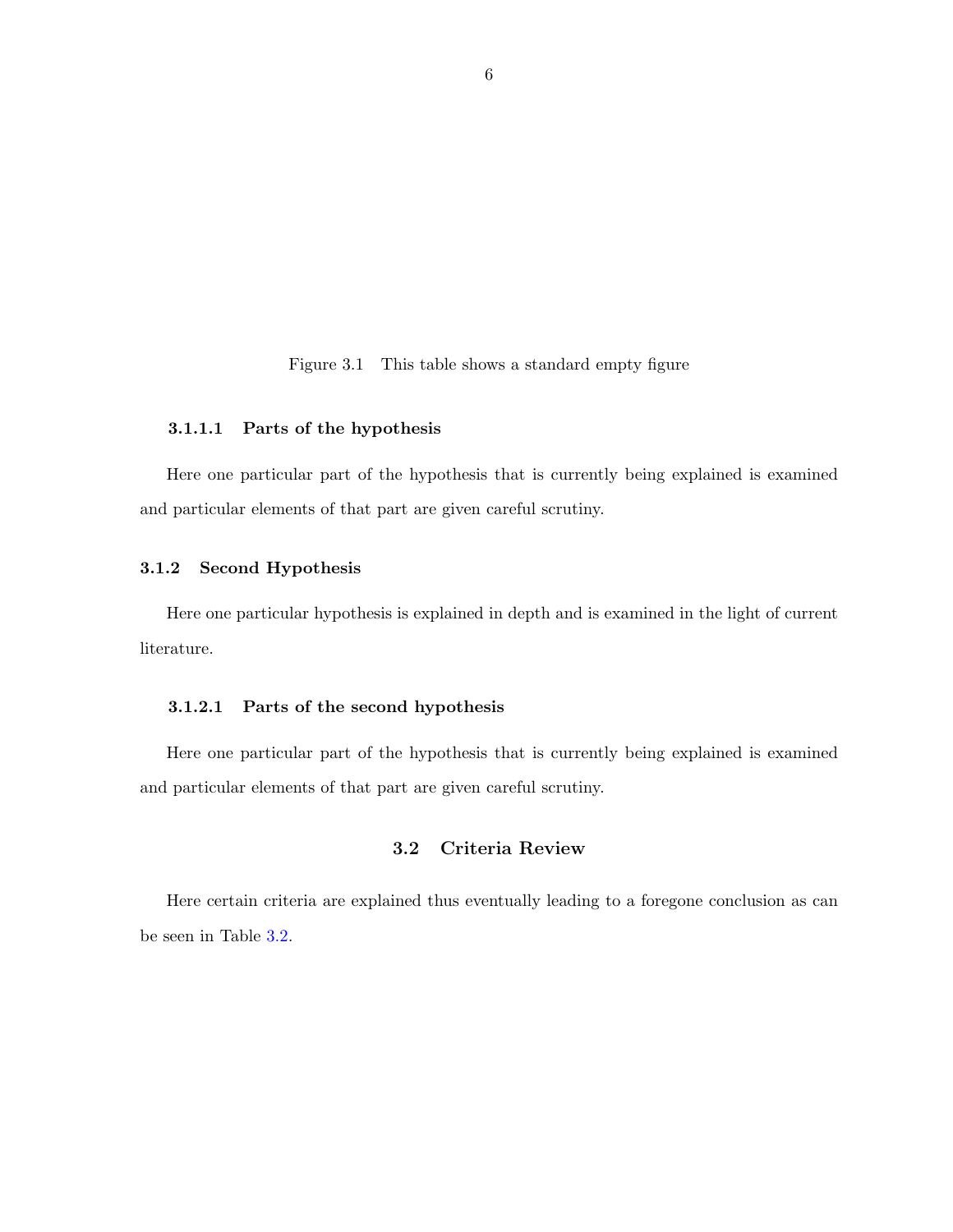Figure 3.1 This table shows a standard empty figure

### <span id="page-13-0"></span>3.1.1.1 Parts of the hypothesis

Here one particular part of the hypothesis that is currently being explained is examined and particular elements of that part are given careful scrutiny.

#### 3.1.2 Second Hypothesis

Here one particular hypothesis is explained in depth and is examined in the light of current literature.

#### 3.1.2.1 Parts of the second hypothesis

Here one particular part of the hypothesis that is currently being explained is examined and particular elements of that part are given careful scrutiny.

### 3.2 Criteria Review

Here certain criteria are explained thus eventually leading to a foregone conclusion as can be seen in Table [3.2.](#page-14-0)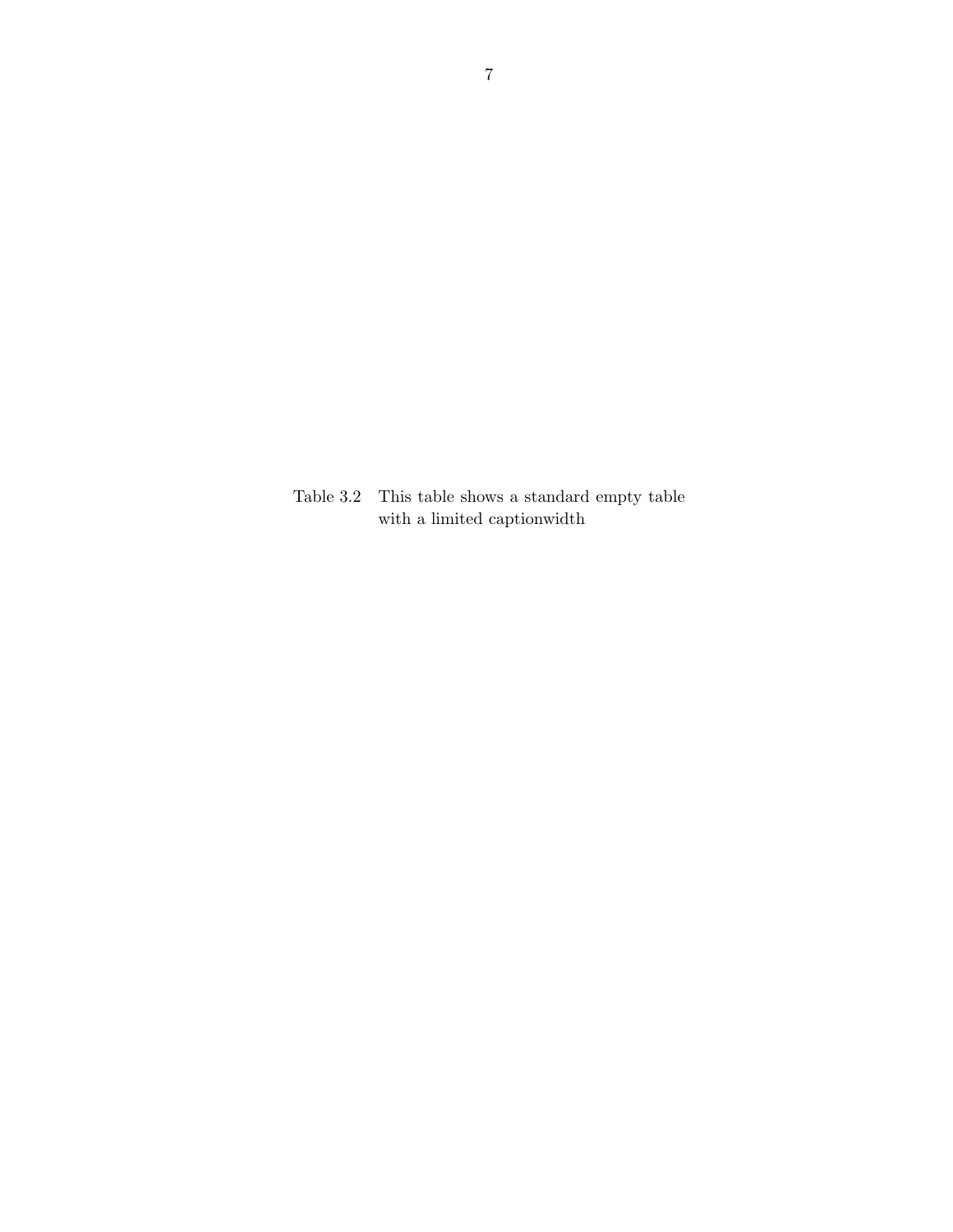<span id="page-14-0"></span>Table 3.2 This table shows a standard empty table with a limited captionwidth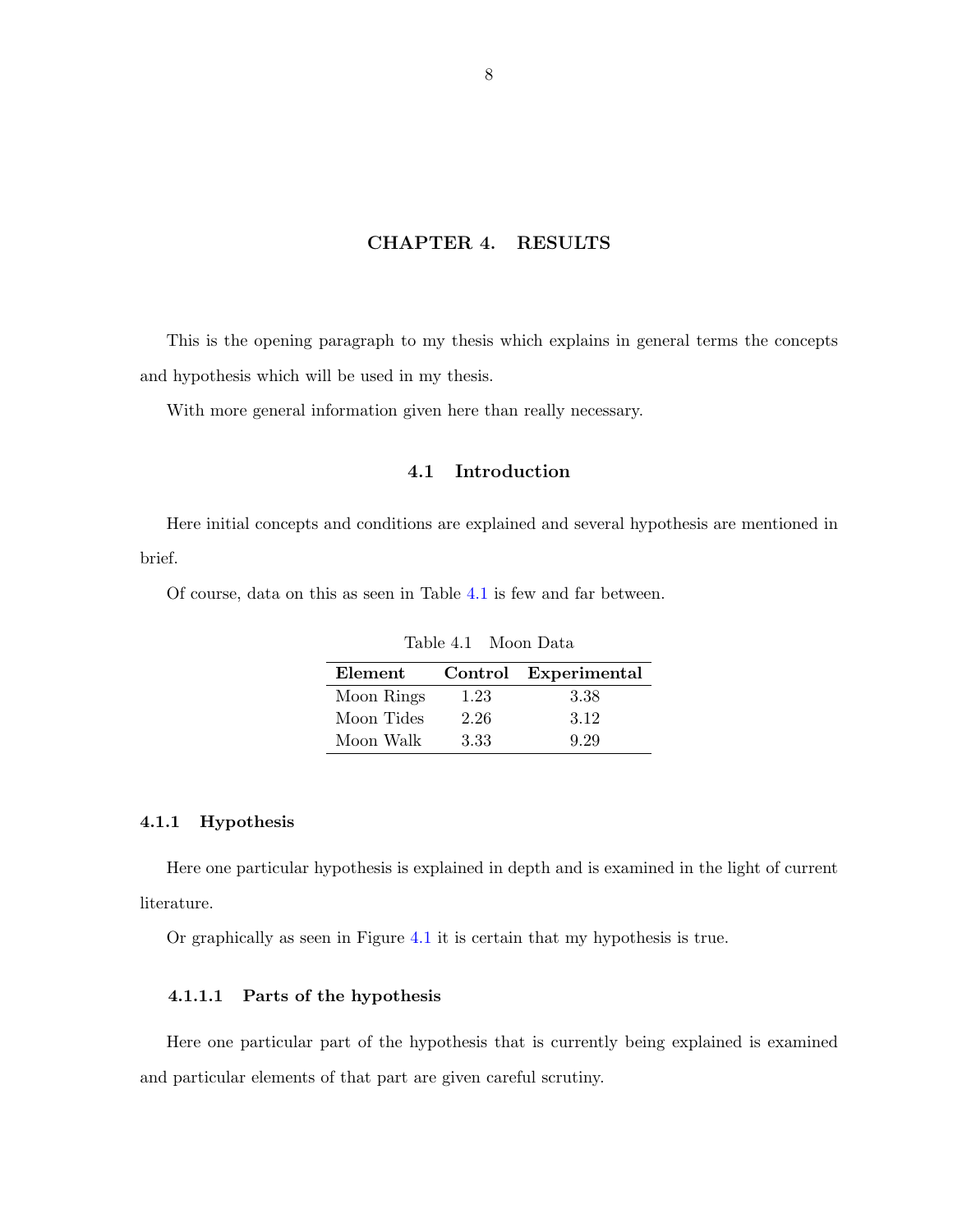#### CHAPTER 4. RESULTS

<span id="page-15-0"></span>This is the opening paragraph to my thesis which explains in general terms the concepts and hypothesis which will be used in my thesis.

With more general information given here than really necessary.

## 4.1 Introduction

Here initial concepts and conditions are explained and several hypothesis are mentioned in brief.

Of course, data on this as seen in Table 4.1 is few and far between.

| Element    |      | Control Experimental |
|------------|------|----------------------|
| Moon Rings | 1.23 | 3.38                 |
| Moon Tides | 2.26 | 3.12                 |
| Moon Walk  | 3.33 | 9.29                 |

Table 4.1 Moon Data

### 4.1.1 Hypothesis

Here one particular hypothesis is explained in depth and is examined in the light of current literature.

Or graphically as seen in Figure [4.1](#page-16-0) it is certain that my hypothesis is true.

#### 4.1.1.1 Parts of the hypothesis

Here one particular part of the hypothesis that is currently being explained is examined and particular elements of that part are given careful scrutiny.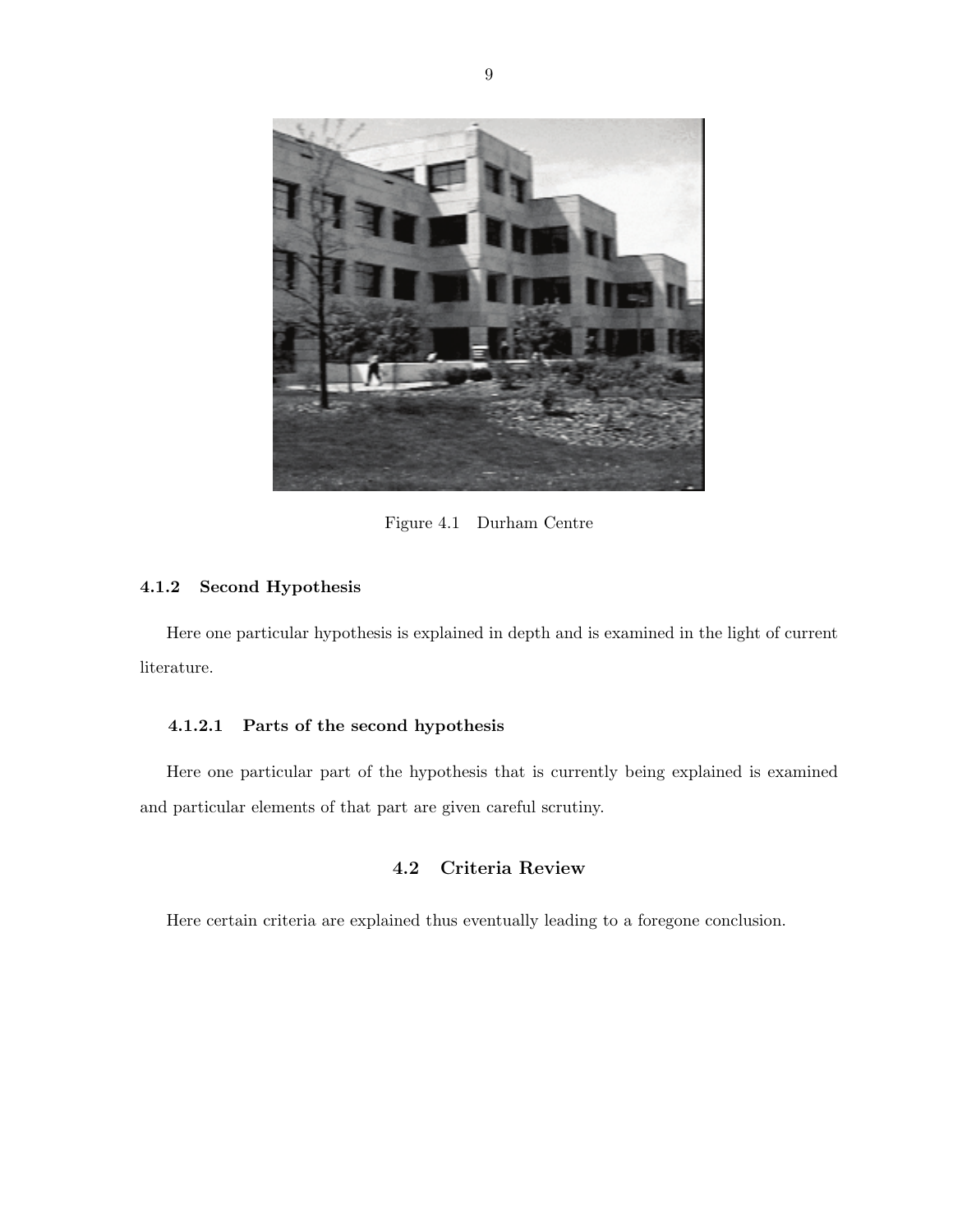<span id="page-16-0"></span>

Figure 4.1 Durham Centre

#### 4.1.2 Second Hypothesis

Here one particular hypothesis is explained in depth and is examined in the light of current literature.

#### 4.1.2.1 Parts of the second hypothesis

Here one particular part of the hypothesis that is currently being explained is examined and particular elements of that part are given careful scrutiny.

## 4.2 Criteria Review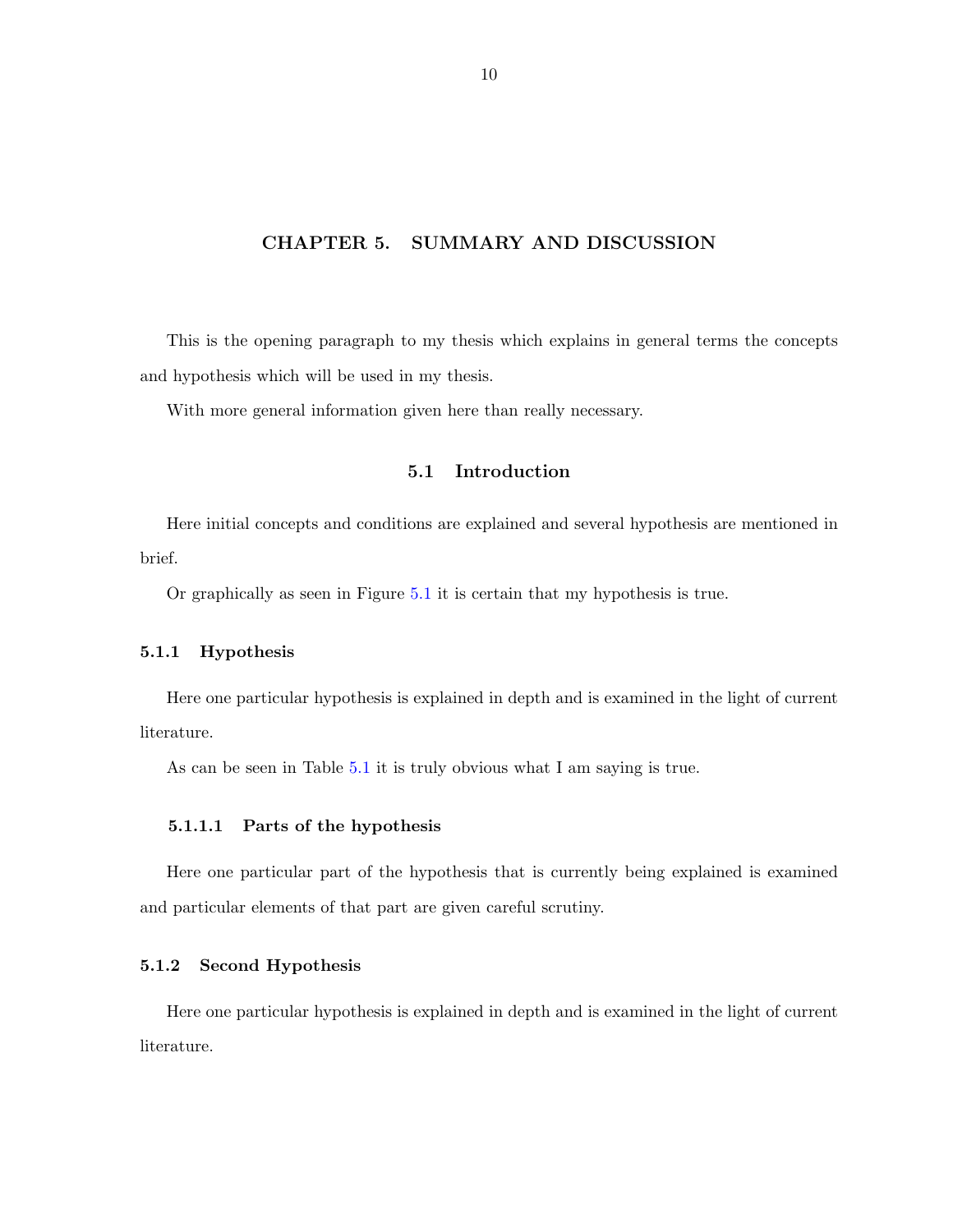#### <span id="page-17-0"></span>CHAPTER 5. SUMMARY AND DISCUSSION

This is the opening paragraph to my thesis which explains in general terms the concepts and hypothesis which will be used in my thesis.

With more general information given here than really necessary.

## 5.1 Introduction

Here initial concepts and conditions are explained and several hypothesis are mentioned in brief.

Or graphically as seen in Figure [5.1](#page-20-0) it is certain that my hypothesis is true.

#### 5.1.1 Hypothesis

Here one particular hypothesis is explained in depth and is examined in the light of current literature.

As can be seen in Table [5.1](#page-18-0) it is truly obvious what I am saying is true.

#### 5.1.1.1 Parts of the hypothesis

Here one particular part of the hypothesis that is currently being explained is examined and particular elements of that part are given careful scrutiny.

#### 5.1.2 Second Hypothesis

Here one particular hypothesis is explained in depth and is examined in the light of current literature.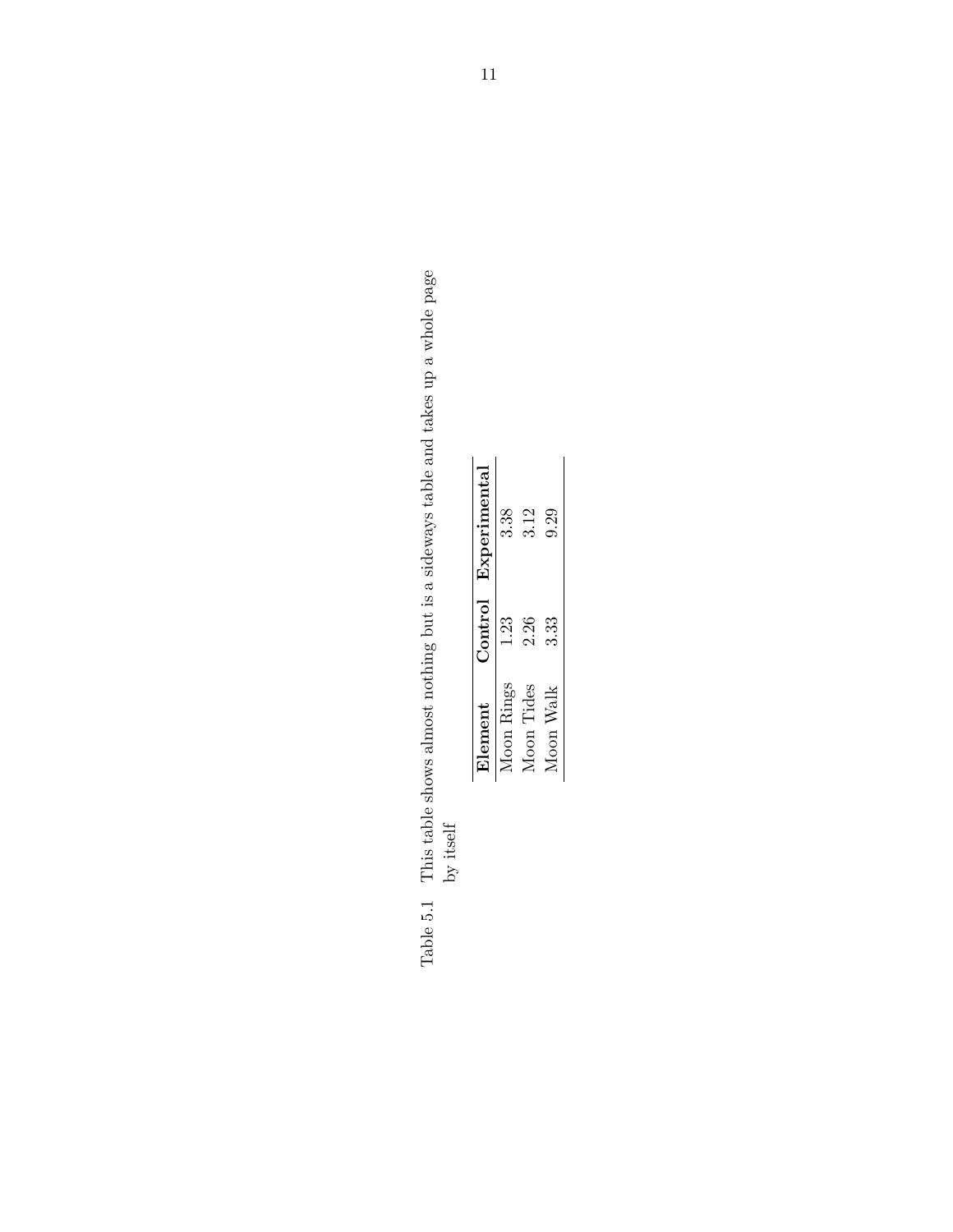<span id="page-18-0"></span>Table 5.1 This table shows almost nothing but is a sideways table and takes up a whole page Table 5.1  $\,$  This table shows almost nothing but is a sideways table and takes up a whole page by itself

| Element          | Control | Experimental |
|------------------|---------|--------------|
| Moon Rings       | 1.23    | 3.38         |
| Moon Tides       | 2.26    | 3.12         |
| <b>Moon Walk</b> | 3.33    | 9.29         |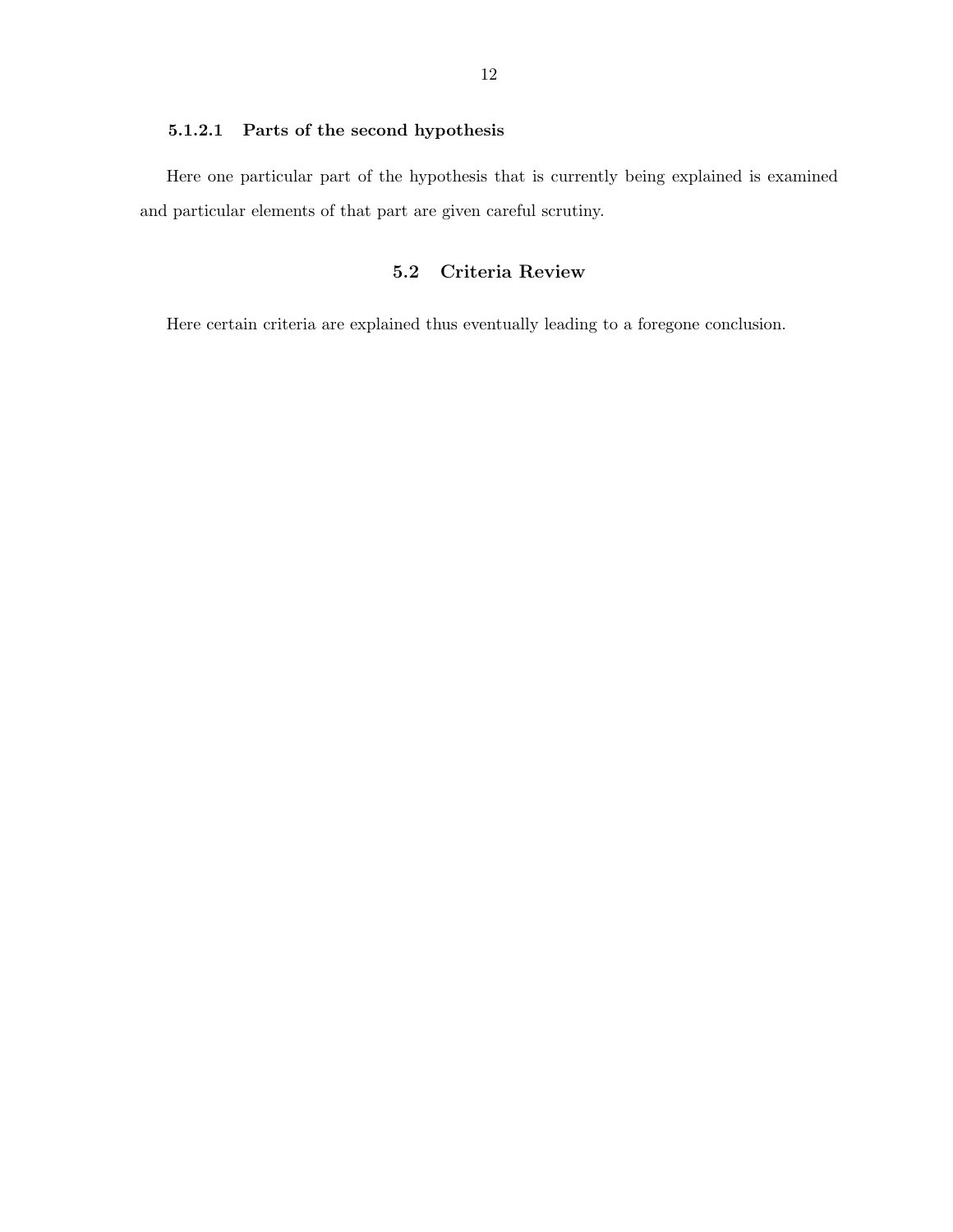#### <span id="page-19-0"></span>5.1.2.1 Parts of the second hypothesis

Here one particular part of the hypothesis that is currently being explained is examined and particular elements of that part are given careful scrutiny.

## 5.2 Criteria Review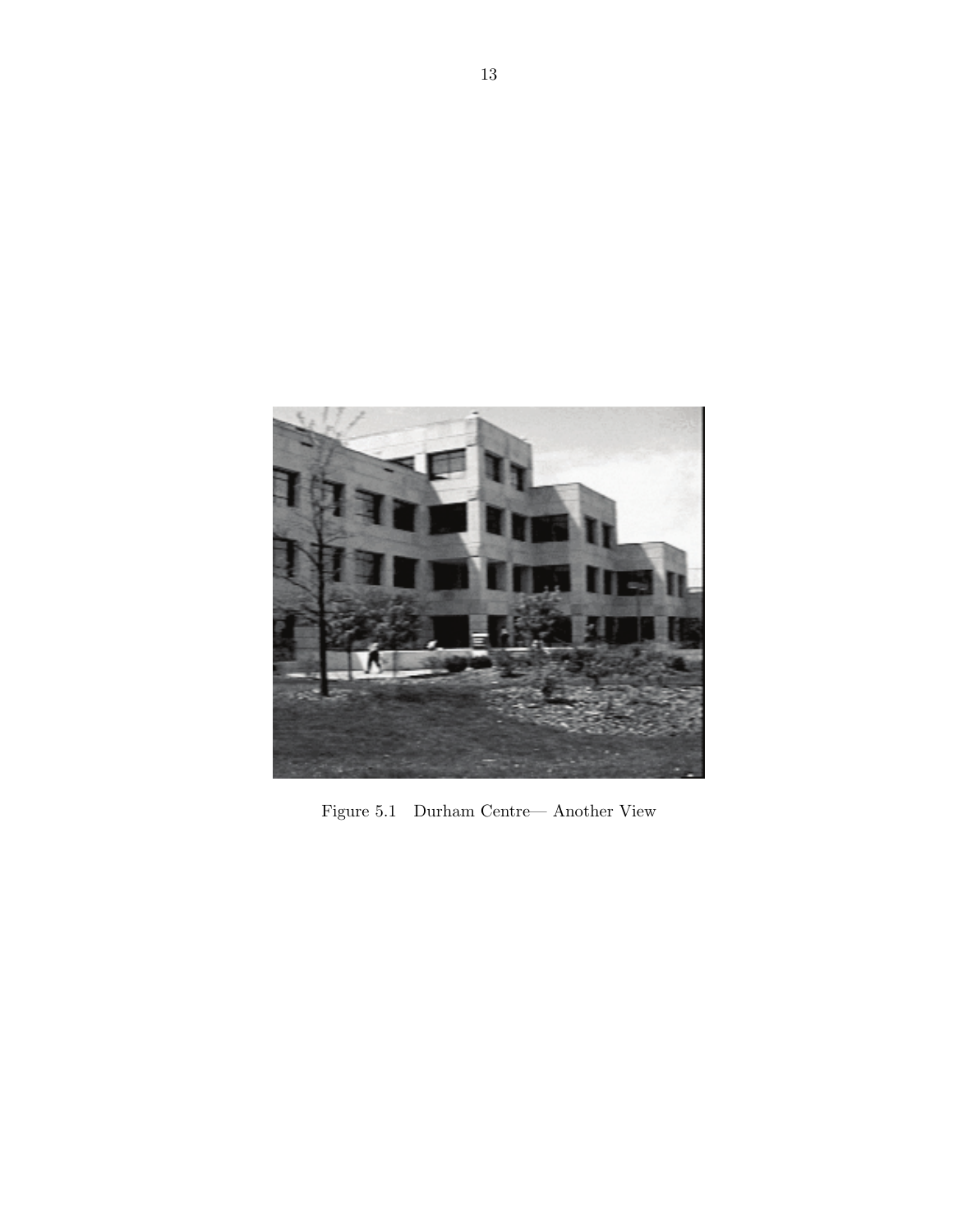<span id="page-20-0"></span>

Figure 5.1 Durham Centre— Another View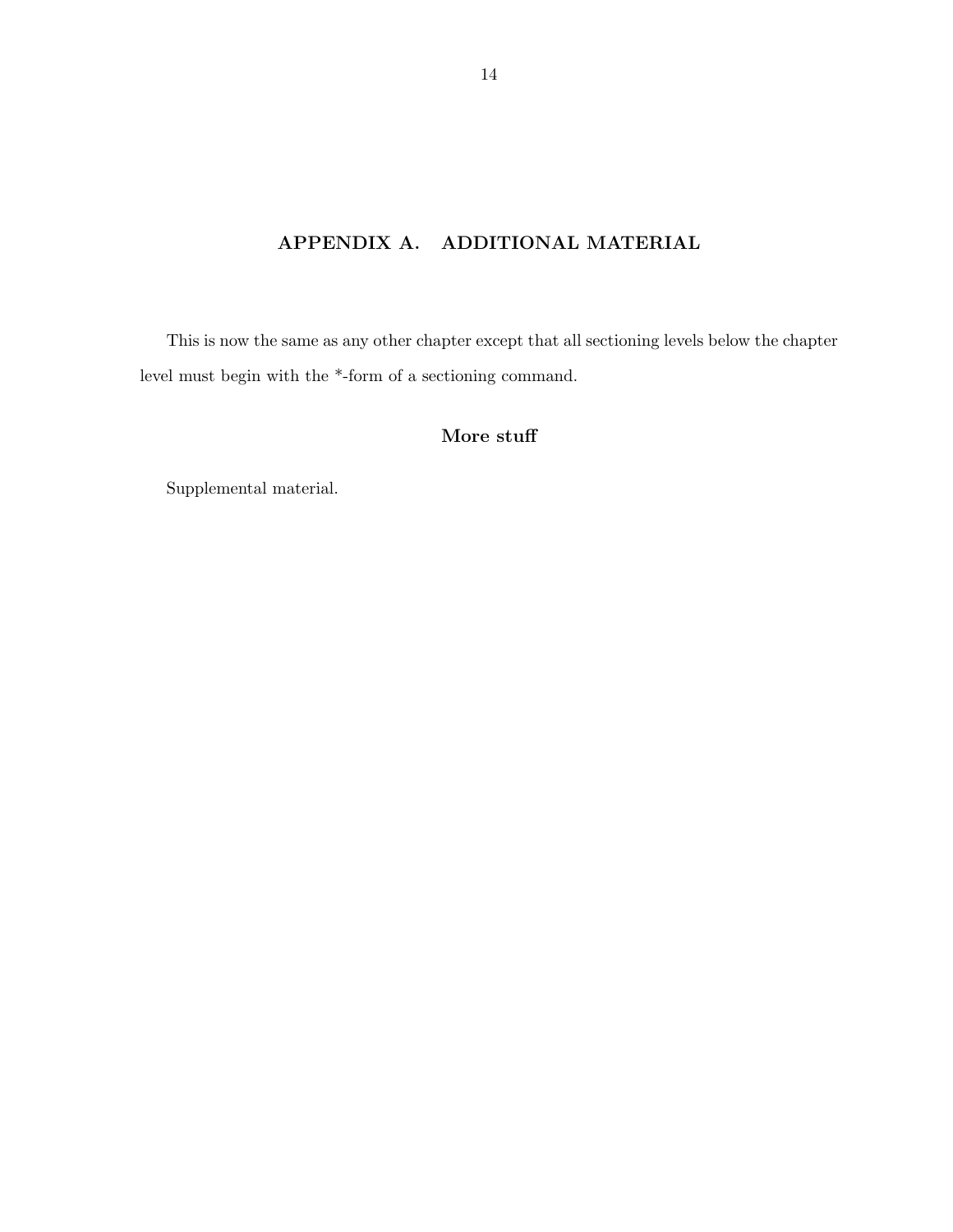# APPENDIX A. ADDITIONAL MATERIAL

<span id="page-21-0"></span>This is now the same as any other chapter except that all sectioning levels below the chapter level must begin with the \*-form of a sectioning command.

## More stuff

Supplemental material.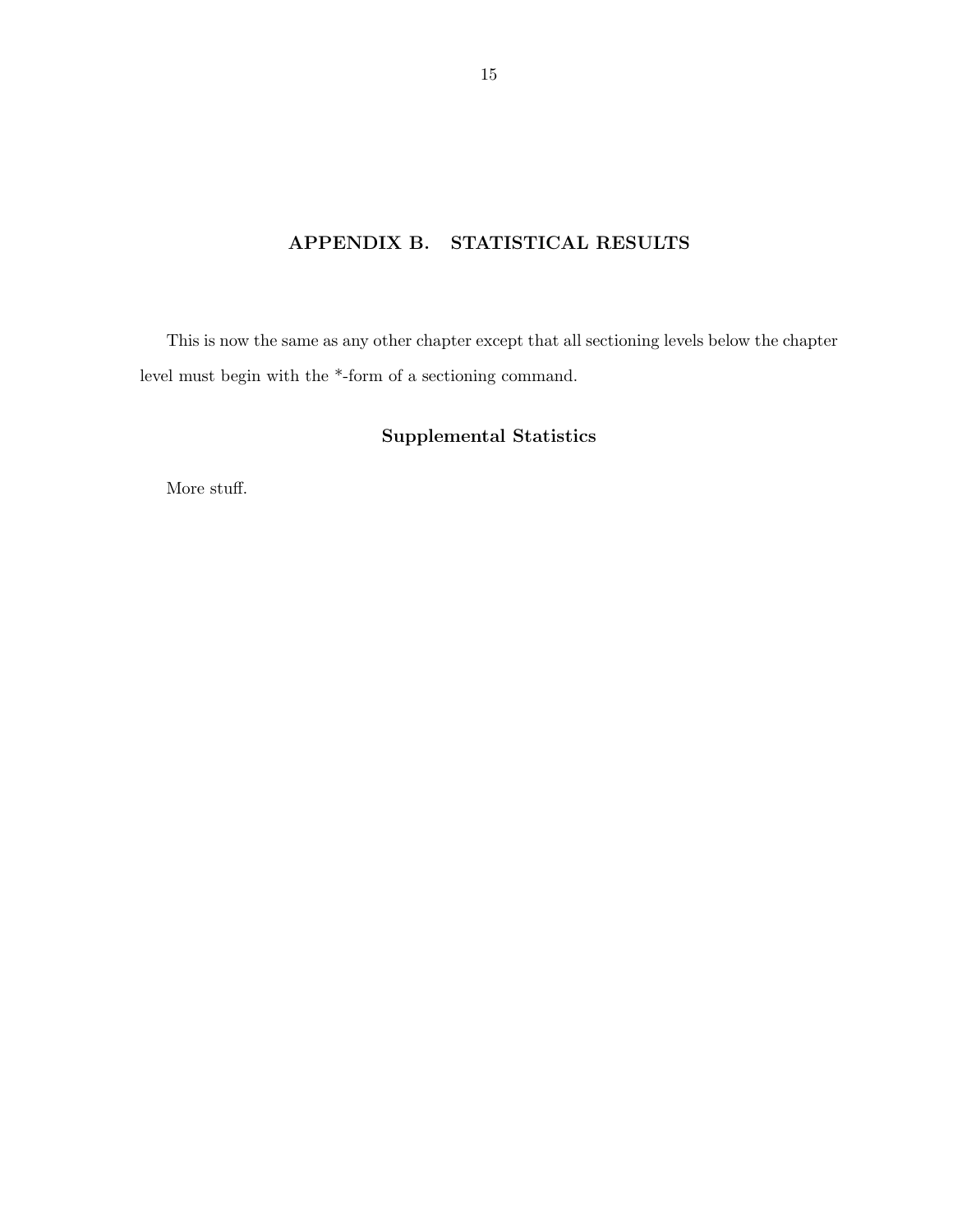# APPENDIX B. STATISTICAL RESULTS

<span id="page-22-0"></span>This is now the same as any other chapter except that all sectioning levels below the chapter level must begin with the \*-form of a sectioning command.

## Supplemental Statistics

More stuff.